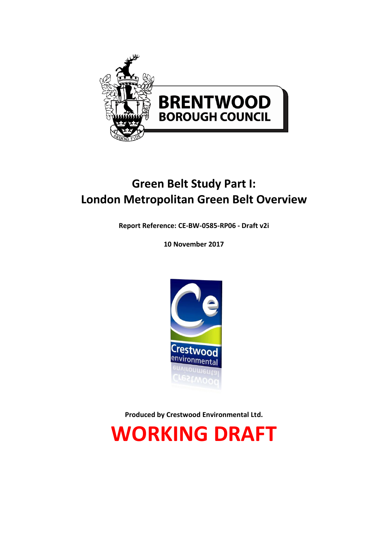

# **Green Belt Study Part I: London Metropolitan Green Belt Overview**

**Report Reference: CE-BW-0585-RP06 - Draft v2i**

**10 November 2017**



**Produced by Crestwood Environmental Ltd.**

**WORKING DRAFT**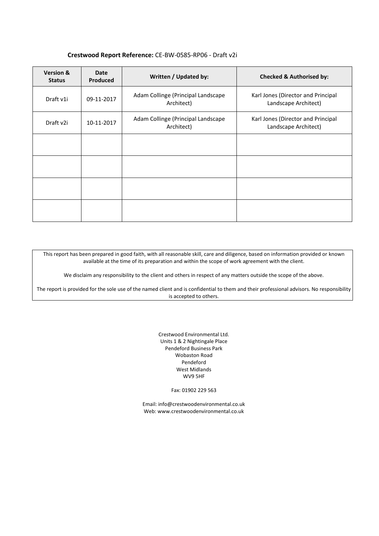#### **Crestwood Report Reference:** CE-BW-0585-RP06 - Draft v2i

| <b>Version &amp;</b><br><b>Status</b> | Date<br>Produced | Written / Updated by:                            | <b>Checked &amp; Authorised by:</b>                        |
|---------------------------------------|------------------|--------------------------------------------------|------------------------------------------------------------|
| Draft v1i                             | 09-11-2017       | Adam Collinge (Principal Landscape<br>Architect) | Karl Jones (Director and Principal<br>Landscape Architect) |
| Draft v2i                             | 10-11-2017       | Adam Collinge (Principal Landscape<br>Architect) | Karl Jones (Director and Principal<br>Landscape Architect) |
|                                       |                  |                                                  |                                                            |
|                                       |                  |                                                  |                                                            |
|                                       |                  |                                                  |                                                            |
|                                       |                  |                                                  |                                                            |

This report has been prepared in good faith, with all reasonable skill, care and diligence, based on information provided or known available at the time of its preparation and within the scope of work agreement with the client.

We disclaim any responsibility to the client and others in respect of any matters outside the scope of the above.

The report is provided for the sole use of the named client and is confidential to them and their professional advisors. No responsibility is accepted to others.

> Crestwood Environmental Ltd. Units 1 & 2 Nightingale Place Pendeford Business Park Wobaston Road Pendeford West Midlands WV9 5HF

> > Fax: 01902 229 563

Email[: info@crestwoodenvironmental.co.uk](mailto:info@crestwoodenvironmental.co.uk) Web: www.crestwoodenvironmental.co.uk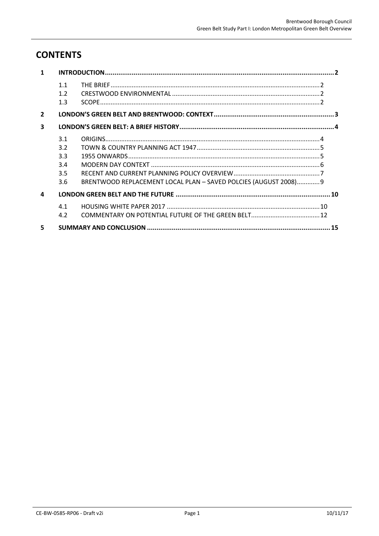## **CONTENTS**

| $\mathbf{1}$   |     |                                                                  |  |  |
|----------------|-----|------------------------------------------------------------------|--|--|
|                | 1.1 |                                                                  |  |  |
|                | 1.2 |                                                                  |  |  |
|                | 1.3 |                                                                  |  |  |
| $\overline{2}$ |     |                                                                  |  |  |
| 3              |     |                                                                  |  |  |
|                | 3.1 |                                                                  |  |  |
|                | 3.2 |                                                                  |  |  |
|                | 3.3 |                                                                  |  |  |
|                | 3.4 |                                                                  |  |  |
|                | 3.5 |                                                                  |  |  |
|                | 3.6 | BRENTWOOD REPLACEMENT LOCAL PLAN - SAVED POLCIES (AUGUST 2008) 9 |  |  |
| 4              |     |                                                                  |  |  |
|                | 4.1 |                                                                  |  |  |
|                | 4.2 |                                                                  |  |  |
| 5.             |     |                                                                  |  |  |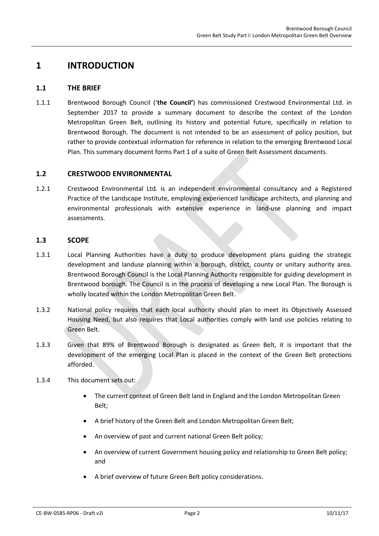## <span id="page-3-1"></span><span id="page-3-0"></span>**1 INTRODUCTION**

#### **1.1 THE BRIEF**

1.1.1 Brentwood Borough Council ('**the Council'**) has commissioned Crestwood Environmental Ltd. in September 2017 to provide a summary document to describe the context of the London Metropolitan Green Belt, outlining its history and potential future, specifically in relation to Brentwood Borough. The document is not intended to be an assessment of policy position, but rather to provide contextual information for reference in relation to the emerging Brentwood Local Plan. This summary document forms Part 1 of a suite of Green Belt Assessment documents.

#### <span id="page-3-2"></span>**1.2 CRESTWOOD ENVIRONMENTAL**

1.2.1 Crestwood Environmental Ltd. is an independent environmental consultancy and a Registered Practice of the Landscape Institute, employing experienced landscape architects, and planning and environmental professionals with extensive experience in land-use planning and impact assessments.

#### <span id="page-3-3"></span>**1.3 SCOPE**

- 1.3.1 Local Planning Authorities have a duty to produce development plans guiding the strategic development and landuse planning within a borough, district, county or unitary authority area. Brentwood Borough Council is the Local Planning Authority responsible for guiding development in Brentwood borough. The Council is in the process of developing a new Local Plan. The Borough is wholly located within the London Metropolitan Green Belt.
- 1.3.2 National policy requires that each local authority should plan to meet its Objectively Assessed Housing Need, but also requires that Local authorities comply with land use policies relating to Green Belt.
- 1.3.3 Given that 89% of Brentwood Borough is designated as Green Belt, it is important that the development of the emerging Local Plan is placed in the context of the Green Belt protections afforded.
- 1.3.4 This document sets out:
	- The current context of Green Belt land in England and the London Metropolitan Green Belt;
	- A brief history of the Green Belt and London Metropolitan Green Belt;
	- An overview of past and current national Green Belt policy;
	- An overview of current Government housing policy and relationship to Green Belt policy; and
	- A brief overview of future Green Belt policy considerations.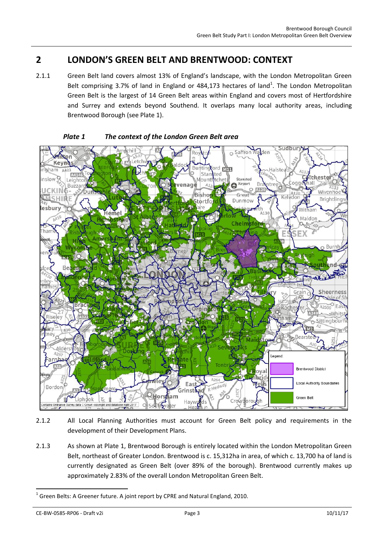## <span id="page-4-0"></span>**2 LONDON'S GREEN BELT AND BRENTWOOD: CONTEXT**

2.1.1 Green Belt land covers almost 13% of England's landscape, with the London Metropolitan Green Belt comprising 3.7% of land in England or 484,173 hectares of land<sup>1</sup>. The London Metropolitan Green Belt is the largest of 14 Green Belt areas within England and covers most of Hertfordshire and Surrey and extends beyond Southend. It overlaps many local authority areas, including Brentwood Borough (see Plate 1).



#### *Plate 1 The context of the London Green Belt area*

- 2.1.2 All Local Planning Authorities must account for Green Belt policy and requirements in the development of their Development Plans.
- 2.1.3 As shown at Plate 1, Brentwood Borough is entirely located within the London Metropolitan Green Belt, northeast of Greater London. Brentwood is c. 15,312ha in area, of which c. 13,700 ha of land is currently designated as Green Belt (over 89% of the borough). Brentwood currently makes up approximately 2.83% of the overall London Metropolitan Green Belt.

CE-BW-0585-RP06 - Draft v2i Page 3 10/11/17

-

 $^1$  Green Belts: A Greener future. A joint report by CPRE and Natural England, 2010.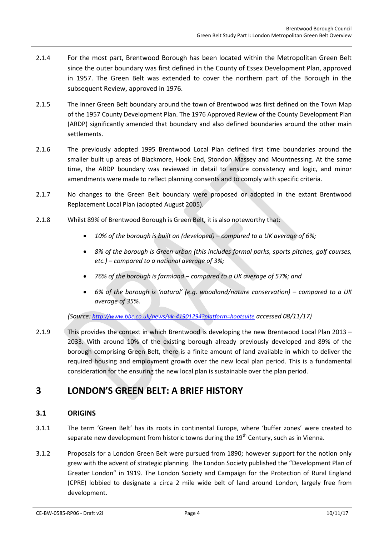- 2.1.4 For the most part, Brentwood Borough has been located within the Metropolitan Green Belt since the outer boundary was first defined in the County of Essex Development Plan, approved in 1957. The Green Belt was extended to cover the northern part of the Borough in the subsequent Review, approved in 1976.
- 2.1.5 The inner Green Belt boundary around the town of Brentwood was first defined on the Town Map of the 1957 County Development Plan. The 1976 Approved Review of the County Development Plan (ARDP) significantly amended that boundary and also defined boundaries around the other main settlements.
- 2.1.6 The previously adopted 1995 Brentwood Local Plan defined first time boundaries around the smaller built up areas of Blackmore, Hook End, Stondon Massey and Mountnessing. At the same time, the ARDP boundary was reviewed in detail to ensure consistency and logic, and minor amendments were made to reflect planning consents and to comply with specific criteria.
- 2.1.7 No changes to the Green Belt boundary were proposed or adopted in the extant Brentwood Replacement Local Plan (adopted August 2005).
- 2.1.8 Whilst 89% of Brentwood Borough is Green Belt, it is also noteworthy that:
	- *10% of the borough is built on (developed) – compared to a UK average of 6%;*
	- *8% of the borough is Green urban (this includes formal parks, sports pitches, golf courses, etc.) – compared to a national average of 3%;*
	- *76% of the borough is farmland – compared to a UK average of 57%; and*
	- *6% of the borough is 'natural' (e.g. woodland/nature conservation) – compared to a UK average of 35%.*

*(Source: <http://www.bbc.co.uk/news/uk-41901294?platform=hootsuite> accessed 08/11/17)*

2.1.9 This provides the context in which Brentwood is developing the new Brentwood Local Plan 2013 – 2033. With around 10% of the existing borough already previously developed and 89% of the borough comprising Green Belt, there is a finite amount of land available in which to deliver the required housing and employment growth over the new local plan period. This is a fundamental consideration for the ensuring the new local plan is sustainable over the plan period.

## <span id="page-5-1"></span><span id="page-5-0"></span>**3 LONDON'S GREEN BELT: A BRIEF HISTORY**

#### **3.1 ORIGINS**

- 3.1.1 The term 'Green Belt' has its roots in continental Europe, where 'buffer zones' were created to separate new development from historic towns during the  $19<sup>th</sup>$  Century, such as in Vienna.
- 3.1.2 Proposals for a London Green Belt were pursued from 1890; however support for the notion only grew with the advent of strategic planning. The London Society published the "Development Plan of Greater London" in 1919. The London Society and Campaign for the Protection of Rural England (CPRE) lobbied to designate a circa 2 mile wide belt of land around London, largely free from development.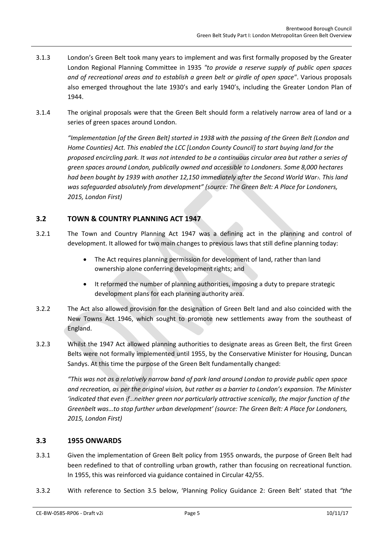- 3.1.3 London's Green Belt took many years to implement and was first formally proposed by the Greater London Regional Planning Committee in 1935 *"to provide a reserve supply of public open spaces and of recreational areas and to establish a green belt or girdle of open space"*. Various proposals also emerged throughout the late 1930's and early 1940's, including the Greater London Plan of 1944.
- 3.1.4 The original proposals were that the Green Belt should form a relatively narrow area of land or a series of green spaces around London.

*"Implementation [of the Green Belt] started in 1938 with the passing of the Green Belt (London and Home Counties) Act. This enabled the LCC [London County Council] to start buying land for the proposed encircling park. It was not intended to be a continuous circular area but rather a series of green spaces around London, publically owned and accessible to Londoners. Some 8,000 hectares had been bought by 1939 with another 12,150 immediately after the Second World War7. This land was safeguarded absolutely from development" (source: The Green Belt: A Place for Londoners, 2015, London First)*

#### <span id="page-6-0"></span>**3.2 TOWN & COUNTRY PLANNING ACT 1947**

- 3.2.1 The Town and Country Planning Act 1947 was a defining act in the planning and control of development. It allowed for two main changes to previous laws that still define planning today:
	- The Act requires planning permission for development of land, rather than land ownership alone conferring development rights; and
	- It reformed the number of planning authorities, imposing a duty to prepare strategic development plans for each planning authority area.
- 3.2.2 The Act also allowed provision for the designation of Green Belt land and also coincided with the New Towns Act 1946, which sought to promote new settlements away from the southeast of England.
- 3.2.3 Whilst the 1947 Act allowed planning authorities to designate areas as Green Belt, the first Green Belts were not formally implemented until 1955, by the Conservative Minister for Housing, Duncan Sandys. At this time the purpose of the Green Belt fundamentally changed:

*"This was not as a relatively narrow band of park land around London to provide public open space and recreation, as per the original vision, but rather as a barrier to London's expansion. The Minister 'indicated that even if…neither green nor particularly attractive scenically, the major function of the Greenbelt was…to stop further urban development' (source: The Green Belt: A Place for Londoners, 2015, London First)*

#### <span id="page-6-1"></span>**3.3 1955 ONWARDS**

- 3.3.1 Given the implementation of Green Belt policy from 1955 onwards, the purpose of Green Belt had been redefined to that of controlling urban growth, rather than focusing on recreational function. In 1955, this was reinforced via guidance contained in Circular 42/55.
- 3.3.2 With reference to Section [3.5](#page-8-0) below, 'Planning Policy Guidance 2: Green Belt' stated that *"the*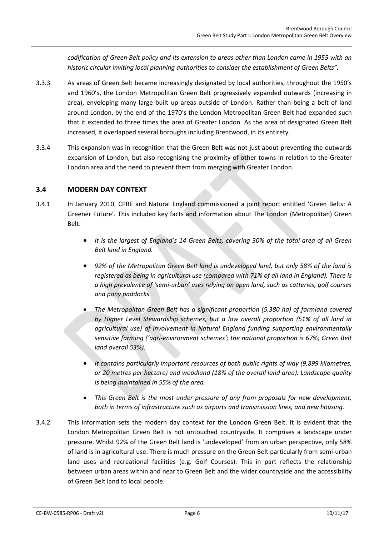*codification of Green Belt policy and its extension to areas other than London came in 1955 with an historic circular inviting local planning authorities to consider the establishment of Green Belts".*

- 3.3.3 As areas of Green Belt became increasingly designated by local authorities, throughout the 1950's and 1960's, the London Metropolitan Green Belt progressively expanded outwards (increasing in area), enveloping many large built up areas outside of London. Rather than being a belt of land around London, by the end of the 1970's the London Metropolitan Green Belt had expanded such that it extended to three times the area of Greater London. As the area of designated Green Belt increased, it overlapped several boroughs including Brentwood, in its entirety.
- 3.3.4 This expansion was in recognition that the Green Belt was not just about preventing the outwards expansion of London, but also recognising the proximity of other towns in relation to the Greater London area and the need to prevent them from merging with Greater London.

#### <span id="page-7-0"></span>**3.4 MODERN DAY CONTEXT**

- 3.4.1 In January 2010, CPRE and Natural England commissioned a joint report entitled 'Green Belts: A Greener Future'. This included key facts and information about The London (Metropolitan) Green Belt:
	- *It is the largest of England's 14 Green Belts, covering 30% of the total area of all Green Belt land in England.*
	- *92% of the Metropolitan Green Belt land is undeveloped land, but only 58% of the land is registered as being in agricultural use (compared with 71% of all land in England). There is a high prevalence of 'semi-urban' uses relying on open land, such as catteries, golf courses and pony paddocks.*
	- *The Metropolitan Green Belt has a significant proportion (5,380 ha) of farmland covered by Higher Level Stewardship schemes, but a low overall proportion (51% of all land in agricultural use) of involvement in Natural England funding supporting environmentally sensitive farming ('agri-environment schemes'; the national proportion is 67%; Green Belt land overall 53%).*
	- *It contains particularly important resources of both public rights of way (9,899 kilometres, or 20 metres per hectare) and woodland (18% of the overall land area). Landscape quality is being maintained in 55% of the area.*
	- *This Green Belt is the most under pressure of any from proposals for new development, both in terms of infrastructure such as airports and transmission lines, and new housing.*
- 3.4.2 This information sets the modern day context for the London Green Belt. It is evident that the London Metropolitan Green Belt is not untouched countryside. It comprises a landscape under pressure. Whilst 92% of the Green Belt land is 'undeveloped' from an urban perspective, only 58% of land is in agricultural use. There is much pressure on the Green Belt particularly from semi-urban land uses and recreational facilities (e.g. Golf Courses). This in part reflects the relationship between urban areas within and near to Green Belt and the wider countryside and the accessibility of Green Belt land to local people.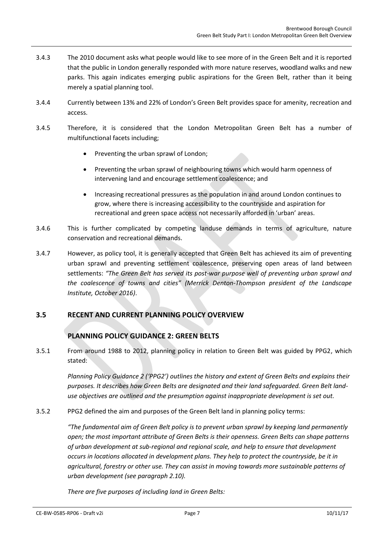- 3.4.3 The 2010 document asks what people would like to see more of in the Green Belt and it is reported that the public in London generally responded with more nature reserves, woodland walks and new parks. This again indicates emerging public aspirations for the Green Belt, rather than it being merely a spatial planning tool.
- 3.4.4 Currently between 13% and 22% of London's Green Belt provides space for amenity, recreation and access.
- 3.4.5 Therefore, it is considered that the London Metropolitan Green Belt has a number of multifunctional facets including;
	- Preventing the urban sprawl of London;
	- Preventing the urban sprawl of neighbouring towns which would harm openness of intervening land and encourage settlement coalescence; and
	- Increasing recreational pressures as the population in and around London continues to grow, where there is increasing accessibility to the countryside and aspiration for recreational and green space access not necessarily afforded in 'urban' areas.
- 3.4.6 This is further complicated by competing landuse demands in terms of agriculture, nature conservation and recreational demands.
- 3.4.7 However, as policy tool, it is generally accepted that Green Belt has achieved its aim of preventing urban sprawl and preventing settlement coalescence, preserving open areas of land between settlements: *"The Green Belt has served its post-war purpose well of preventing urban sprawl and the coalescence of towns and cities" (Merrick Denton-Thompson president of the Landscape Institute, October 2016)*.

#### <span id="page-8-0"></span>**3.5 RECENT AND CURRENT PLANNING POLICY OVERVIEW**

#### **PLANNING POLICY GUIDANCE 2: GREEN BELTS**

3.5.1 From around 1988 to 2012, planning policy in relation to Green Belt was guided by PPG2, which stated:

*Planning Policy Guidance 2 ('PPG2') outlines the history and extent of Green Belts and explains their purposes. It describes how Green Belts are designated and their land safeguarded. Green Belt landuse objectives are outlined and the presumption against inappropriate development is set out.*

3.5.2 PPG2 defined the aim and purposes of the Green Belt land in planning policy terms:

*"The fundamental aim of Green Belt policy is to prevent urban sprawl by keeping land permanently open; the most important attribute of Green Belts is their openness. Green Belts can shape patterns of urban development at sub-regional and regional scale, and help to ensure that development occurs in locations allocated in development plans. They help to protect the countryside, be it in agricultural, forestry or other use. They can assist in moving towards more sustainable patterns of urban development (see paragraph 2.10).*

*There are five purposes of including land in Green Belts:*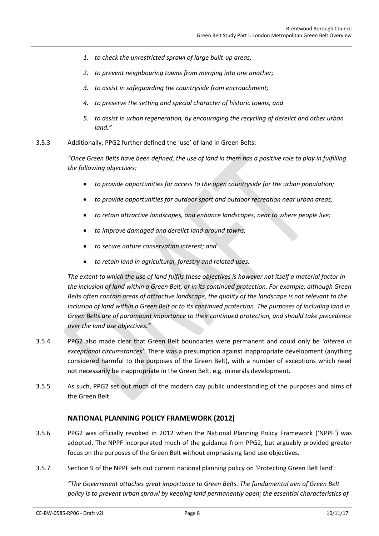- *1. to check the unrestricted sprawl of large built-up areas;*
- *2. to prevent neighbouring towns from merging into one another;*
- *3. to assist in safeguarding the countryside from encroachment;*
- *4. to preserve the setting and special character of historic towns; and*
- *5. to assist in urban regeneration, by encouraging the recycling of derelict and other urban land."*
- 3.5.3 Additionally, PPG2 further defined the 'use' of land in Green Belts:

*"Once Green Belts have been defined, the use of land in them has a positive role to play in fulfilling the following objectives:*

- *to provide opportunities for access to the open countryside for the urban population;*
- *to provide opportunities for outdoor sport and outdoor recreation near urban areas;*
- *to retain attractive landscapes, and enhance landscapes, near to where people live;*
- *to improve damaged and derelict land around towns;*
- *to secure nature conservation interest; and*
- *to retain land in agricultural, forestry and related uses.*

*The extent to which the use of land fulfils these objectives is however not itself a material factor in the inclusion of land within a Green Belt, or in its continued protection. For example, although Green Belts often contain areas of attractive landscape, the quality of the landscape is not relevant to the inclusion of land within a Green Belt or to its continued protection. The purposes of including land in Green Belts are of paramount importance to their continued protection, and should take precedence over the land use objectives."*

- 3.5.4 PPG2 also made clear that Green Belt boundaries were permanent and could only be *'altered in exceptional circumstances'*. There was a presumption against inappropriate development (anything considered harmful to the purposes of the Green Belt), with a number of exceptions which need not necessarily be inappropriate in the Green Belt, e.g. minerals development.
- 3.5.5 As such, PPG2 set out much of the modern day public understanding of the purposes and aims of the Green Belt.

#### **NATIONAL PLANNING POLICY FRAMEWORK (2012)**

- 3.5.6 PPG2 was officially revoked in 2012 when the National Planning Policy Framework ('NPPF') was adopted. The NPPF incorporated much of the guidance from PPG2, but arguably provided greater focus on the purposes of the Green Belt without emphasising land use objectives.
- <span id="page-9-0"></span>3.5.7 Section 9 of the NPPF sets out current national planning policy on 'Protecting Green Belt land':

*"The Government attaches great importance to Green Belts. The fundamental aim of Green Belt policy is to prevent urban sprawl by keeping land permanently open; the essential characteristics of*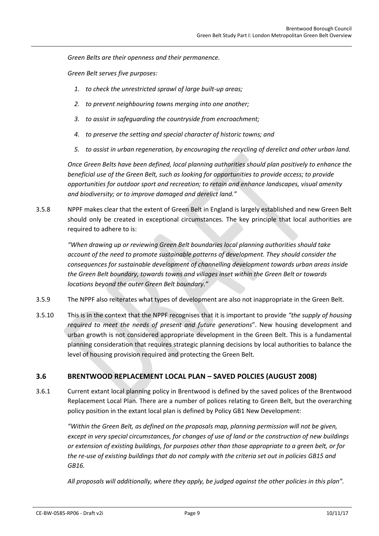*Green Belts are their openness and their permanence.*

*Green Belt serves five purposes:*

- *1. to check the unrestricted sprawl of large built-up areas;*
- *2. to prevent neighbouring towns merging into one another;*
- *3. to assist in safeguarding the countryside from encroachment;*
- *4. to preserve the setting and special character of historic towns; and*
- *5. to assist in urban regeneration, by encouraging the recycling of derelict and other urban land.*

*Once Green Belts have been defined, local planning authorities should plan positively to enhance the beneficial use of the Green Belt, such as looking for opportunities to provide access; to provide opportunities for outdoor sport and recreation; to retain and enhance landscapes, visual amenity and biodiversity; or to improve damaged and derelict land."*

3.5.8 NPPF makes clear that the extent of Green Belt in England is largely established and new Green Belt should only be created in exceptional circumstances. The key principle that local authorities are required to adhere to is:

*"When drawing up or reviewing Green Belt boundaries local planning authorities should take account of the need to promote sustainable patterns of development. They should consider the consequences for sustainable development of channelling development towards urban areas inside the Green Belt boundary, towards towns and villages inset within the Green Belt or towards locations beyond the outer Green Belt boundary."*

- 3.5.9 The NPPF also reiterates what types of development are also not inappropriate in the Green Belt.
- 3.5.10 This is in the context that the NPPF recognises that it is important to provide *"the supply of housing required to meet the needs of present and future generations*". New housing development and urban growth is not considered appropriate development in the Green Belt. This is a fundamental planning consideration that requires strategic planning decisions by local authorities to balance the level of housing provision required and protecting the Green Belt.

#### <span id="page-10-0"></span>**3.6 BRENTWOOD REPLACEMENT LOCAL PLAN – SAVED POLCIES (AUGUST 2008)**

3.6.1 Current extant local planning policy in Brentwood is defined by the saved polices of the Brentwood Replacement Local Plan. There are a number of polices relating to Green Belt, but the overarching policy position in the extant local plan is defined by Policy GB1 New Development:

*"Within the Green Belt, as defined on the proposals map, planning permission will not be given, except in very special circumstances, for changes of use of land or the construction of new buildings or extension of existing buildings, for purposes other than those appropriate to a green belt, or for the re-use of existing buildings that do not comply with the criteria set out in policies GB15 and GB16.*

*All proposals will additionally, where they apply, be judged against the other policies in this plan".*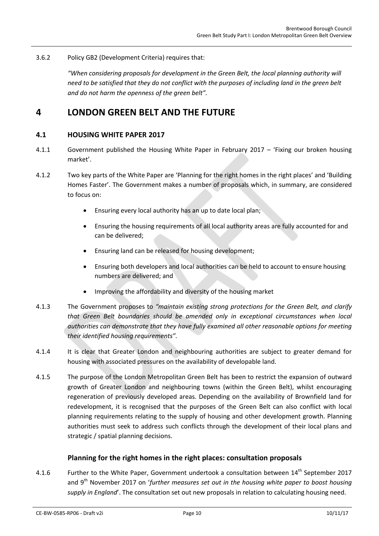3.6.2 Policy GB2 (Development Criteria) requires that:

*"When considering proposals for development in the Green Belt, the local planning authority will need to be satisfied that they do not conflict with the purposes of including land in the green belt and do not harm the openness of the green belt".*

### <span id="page-11-1"></span><span id="page-11-0"></span>**4 LONDON GREEN BELT AND THE FUTURE**

#### **4.1 HOUSING WHITE PAPER 2017**

- 4.1.1 Government published the Housing White Paper in February 2017 'Fixing our broken housing market'.
- 4.1.2 Two key parts of the White Paper are 'Planning for the right homes in the right places' and 'Building Homes Faster'. The Government makes a number of proposals which, in summary, are considered to focus on:
	- Ensuring every local authority has an up to date local plan;
	- Ensuring the housing requirements of all local authority areas are fully accounted for and can be delivered;
	- Ensuring land can be released for housing development;
	- Ensuring both developers and local authorities can be held to account to ensure housing numbers are delivered; and
	- Improving the affordability and diversity of the housing market
- 4.1.3 The Government proposes to *"maintain existing strong protections for the Green Belt, and clarify that Green Belt boundaries should be amended only in exceptional circumstances when local authorities can demonstrate that they have fully examined all other reasonable options for meeting their identified housing requirements".*
- 4.1.4 It is clear that Greater London and neighbouring authorities are subject to greater demand for housing with associated pressures on the availability of developable land.
- 4.1.5 The purpose of the London Metropolitan Green Belt has been to restrict the expansion of outward growth of Greater London and neighbouring towns (within the Green Belt), whilst encouraging regeneration of previously developed areas. Depending on the availability of Brownfield land for redevelopment, it is recognised that the purposes of the Green Belt can also conflict with local planning requirements relating to the supply of housing and other development growth. Planning authorities must seek to address such conflicts through the development of their local plans and strategic / spatial planning decisions.

#### **Planning for the right homes in the right places: consultation proposals**

4.1.6 Further to the White Paper, Government undertook a consultation between 14<sup>th</sup> September 2017 and 9<sup>th</sup> November 2017 on 'further measures set out in the housing white paper to boost housing *supply in England*'. The consultation set out new proposals in relation to calculating housing need.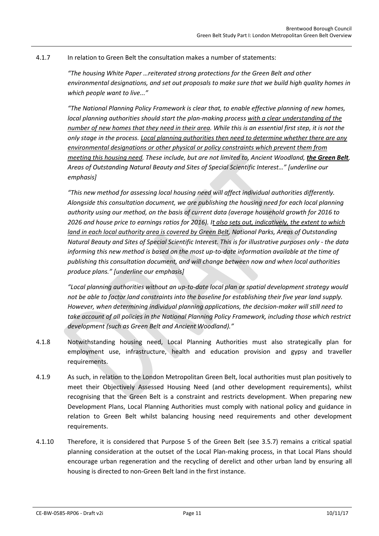#### 4.1.7 In relation to Green Belt the consultation makes a number of statements:

*"The housing White Paper …reiterated strong protections for the Green Belt and other environmental designations, and set out proposals to make sure that we build high quality homes in which people want to live..."*

*"The National Planning Policy Framework is clear that, to enable effective planning of new homes, local planning authorities should start the plan-making process with a clear understanding of the number of new homes that they need in their area. While this is an essential first step, it is not the only stage in the process. Local planning authorities then need to determine whether there are any environmental designations or other physical or policy constraints which prevent them from meeting this housing need. These include, but are not limited to, Ancient Woodland, <i>the Green Belt*, *Areas of Outstanding Natural Beauty and Sites of Special Scientific Interest…" [underline our emphasis]*

*"This new method for assessing local housing need will affect individual authorities differently. Alongside this consultation document, we are publishing the housing need for each local planning authority using our method, on the basis of current data (average household growth for 2016 to 2026 and house price to earnings ratios for 2016). It also sets out, indicatively, the extent to which land in each local authority area is covered by Green Belt, National Parks, Areas of Outstanding Natural Beauty and Sites of Special Scientific Interest. This is for illustrative purposes only - the data informing this new method is based on the most up-to-date information available at the time of publishing this consultation document, and will change between now and when local authorities produce plans." [underline our emphasis]*

*"Local planning authorities without an up-to-date local plan or spatial development strategy would not be able to factor land constraints into the baseline for establishing their five year land supply. However, when determining individual planning applications, the decision-maker will still need to take account of all policies in the National Planning Policy Framework, including those which restrict development (such as Green Belt and Ancient Woodland)."*

- 4.1.8 Notwithstanding housing need, Local Planning Authorities must also strategically plan for employment use, infrastructure, health and education provision and gypsy and traveller requirements.
- 4.1.9 As such, in relation to the London Metropolitan Green Belt, local authorities must plan positively to meet their Objectively Assessed Housing Need (and other development requirements), whilst recognising that the Green Belt is a constraint and restricts development. When preparing new Development Plans, Local Planning Authorities must comply with national policy and guidance in relation to Green Belt whilst balancing housing need requirements and other development requirements.
- 4.1.10 Therefore, it is considered that Purpose 5 of the Green Belt (see [3.5.7\)](#page-9-0) remains a critical spatial planning consideration at the outset of the Local Plan-making process, in that Local Plans should encourage urban regeneration and the recycling of derelict and other urban land by ensuring all housing is directed to non-Green Belt land in the first instance.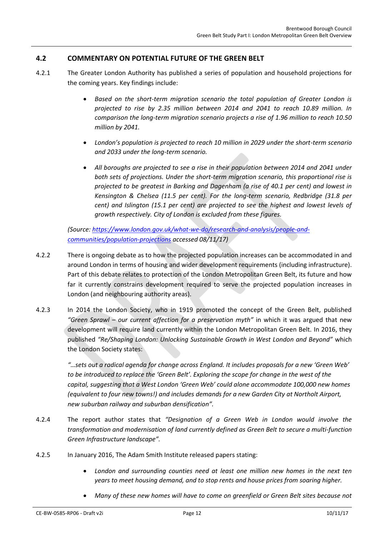#### <span id="page-13-0"></span>**4.2 COMMENTARY ON POTENTIAL FUTURE OF THE GREEN BELT**

- 4.2.1 The Greater London Authority has published a series of population and household projections for the coming years. Key findings include:
	- *Based on the short-term migration scenario the total population of Greater London is projected to rise by 2.35 million between 2014 and 2041 to reach 10.89 million. In comparison the long-term migration scenario projects a rise of 1.96 million to reach 10.50 million by 2041.*
	- *London's population is projected to reach 10 million in 2029 under the short-term scenario and 2033 under the long-term scenario.*
	- *All boroughs are projected to see a rise in their population between 2014 and 2041 under both sets of projections. Under the short-term migration scenario, this proportional rise is projected to be greatest in Barking and Dagenham (a rise of 40.1 per cent) and lowest in Kensington & Chelsea (11.5 per cent). For the long-term scenario, Redbridge (31.8 per cent) and Islington (15.1 per cent) are projected to see the highest and lowest levels of growth respectively. City of London is excluded from these figures.*

*(Source: [https://www.london.gov.uk/what-we-do/research-and-analysis/people-and](https://www.london.gov.uk/what-we-do/research-and-analysis/people-and-communities/population-projections)[communities/population-projections](https://www.london.gov.uk/what-we-do/research-and-analysis/people-and-communities/population-projections) accessed 08/11/17)*

- 4.2.2 There is ongoing debate as to how the projected population increases can be accommodated in and around London in terms of housing and wider development requirements (including infrastructure). Part of this debate relates to protection of the London Metropolitan Green Belt, its future and how far it currently constrains development required to serve the projected population increases in London (and neighbouring authority areas).
- 4.2.3 In 2014 the London Society, who in 1919 promoted the concept of the Green Belt, published *"Green Sprawl – [our current affection for a preservation myth](http://www.londonsociety.org.uk/green-sprawl-our-current-affection-for-a-preservation-myth/)"* in which it was argued that new development will require land currently within the London Metropolitan Green Belt. In 2016, they published *"Re/Shaping London: Unlocking Sustainable Growth in West London and Beyond"* which the London Society states:

*"…sets out a radical agenda for change across England. It includes proposals for a new 'Green Web' to be introduced to replace the 'Green Belt'. Exploring the scope for change in the west of the capital, suggesting that a West London 'Green Web' could alone accommodate 100,000 new homes (equivalent to four new towns!) and includes demands for a new Garden City at Northolt Airport, new suburban railway and suburban densification".*

- 4.2.4 The report author states that *"Designation of a Green Web in London would involve the transformation and modernisation of land currently defined as Green Belt to secure a multi-function Green Infrastructure landscape".*
- 4.2.5 In January 2016, The Adam Smith Institute released papers stating:
	- *London and surrounding counties need at least one million new homes in the next ten years to meet housing demand, and to stop rents and house prices from soaring higher.*
	- *Many of these new homes will have to come on greenfield or Green Belt sites because not*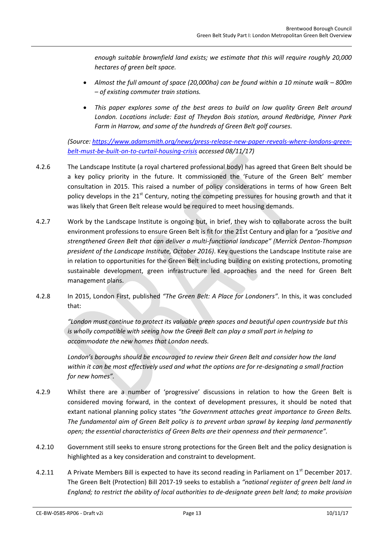*enough suitable brownfield land exists; we estimate that this will require roughly 20,000 hectares of green belt space.*

- **•** Almost the full amount of space (20,000ha) can be found within a 10 minute walk 800m *– of existing commuter train stations.*
- *This paper explores some of the best areas to build on low quality Green Belt around London. Locations include: East of Theydon Bois station, around Redbridge, Pinner Park Farm in Harrow, and some of the hundreds of Green Belt golf courses.*

*(Source: [https://www.adamsmith.org/news/press-release-new-paper-reveals-where-londons-green](https://www.adamsmith.org/news/press-release-new-paper-reveals-where-londons-green-belt-must-be-built-on-to-curtail-housing-crisis)[belt-must-be-built-on-to-curtail-housing-crisis](https://www.adamsmith.org/news/press-release-new-paper-reveals-where-londons-green-belt-must-be-built-on-to-curtail-housing-crisis) accessed 08/11/17)*

- 4.2.6 The Landscape Institute (a royal chartered professional body) has agreed that Green Belt should be a key policy priority in the future. It commissioned the 'Future of the Green Belt' member consultation in 2015. This raised a number of policy considerations in terms of how Green Belt policy develops in the 21<sup>st</sup> Century, noting the competing pressures for housing growth and that it was likely that Green Belt release would be required to meet housing demands.
- 4.2.7 Work by the Landscape Institute is ongoing but, in brief, they wish to collaborate across the built environment professions to ensure Green Belt is fit for the 21st Century and plan for a *"positive and strengthened Green Belt that can deliver a multi-functional landscape" (Merrick Denton-Thompson president of the Landscape Institute, October 2016)*. Key questions the Landscape Institute raise are in relation to opportunities for the Green Belt including building on existing protections, promoting sustainable development, green infrastructure led approaches and the need for Green Belt management plans.
- 4.2.8 In 2015, London First, published *"The Green Belt: A Place for Londoners".* In this, it was concluded that:

*"London must continue to protect its valuable green spaces and beautiful open countryside but this is wholly compatible with seeing how the Green Belt can play a small part in helping to accommodate the new homes that London needs.* 

London's boroughs should be encouraged to review their Green Belt and consider how the land *within it can be most effectively used and what the options are for re-designating a small fraction for new homes".*

- 4.2.9 Whilst there are a number of 'progressive' discussions in relation to how the Green Belt is considered moving forward, in the context of development pressures, it should be noted that extant national planning policy states *"the Government attaches great importance to Green Belts. The fundamental aim of Green Belt policy is to prevent urban sprawl by keeping land permanently open; the essential characteristics of Green Belts are their openness and their permanence".*
- 4.2.10 Government still seeks to ensure strong protections for the Green Belt and the policy designation is highlighted as a key consideration and constraint to development.
- 4.2.11 A Private Members Bill is expected to have its second reading in Parliament on  $1<sup>st</sup>$  December 2017. The Green Belt (Protection) Bill 2017-19 seeks to establish a *"national register of green belt land in England; to restrict the ability of local authorities to de-designate green belt land; to make provision*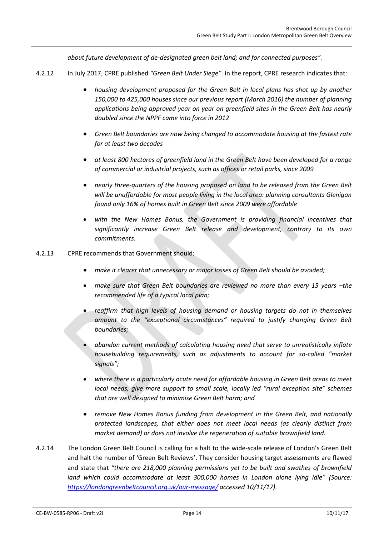*about future development of de-designated green belt land; and for connected purposes".*

- 4.2.12 In July 2017, CPRE published *"Green Belt Under Siege"*. In the report, CPRE research indicates that:
	- *housing development proposed for the Green Belt in local plans has shot up by another 150,000 to 425,000 houses since our previous report (March 2016) the number of planning applications being approved year on year on greenfield sites in the Green Belt has nearly doubled since the NPPF came into force in 2012*
	- *Green Belt boundaries are now being changed to accommodate housing at the fastest rate for at least two decades*
	- *at least 800 hectares of greenfield land in the Green Belt have been developed for a range of commercial or industrial projects, such as offices or retail parks, since 2009*
	- *nearly three-quarters of the housing proposed on land to be released from the Green Belt will be unaffordable for most people living in the local area: planning consultants Glenigan found only 16% of homes built in Green Belt since 2009 were affordable*
	- with the New Homes Bonus, the Government is providing financial incentives that *significantly increase Green Belt release and development, contrary to its own commitments.*
- 4.2.13 CPRE recommends that Government should:
	- *make it clearer that unnecessary or major losses of Green Belt should be avoided;*
	- *make sure that Green Belt boundaries are reviewed no more than every 15 years the recommended life of a typical local plan;*
	- *reaffirm that high levels of housing demand or housing targets do not in themselves amount to the "exceptional circumstances" required to justify changing Green Belt boundaries;*
	- *abandon current methods of calculating housing need that serve to unrealistically inflate housebuilding requirements, such as adjustments to account for so-called "market signals";*
	- *where there is a particularly acute need for affordable housing in Green Belt areas to meet local needs, give more support to small scale, locally led "rural exception site" schemes that are well designed to minimise Green Belt harm; and*
	- *remove New Homes Bonus funding from development in the Green Belt, and nationally protected landscapes, that either does not meet local needs (as clearly distinct from market demand) or does not involve the regeneration of suitable brownfield land.*
- 4.2.14 The London Green Belt Council is calling for a halt to the wide-scale release of London's Green Belt and halt the number of 'Green Belt Reviews'. They consider housing target assessments are flawed and state that *"there are 218,000 planning permissions yet to be built and swathes of brownfield land which could accommodate at least 300,000 homes in London alone lying idle" (Source: <https://londongreenbeltcouncil.org.uk/our-message/> accessed 10/11/17).*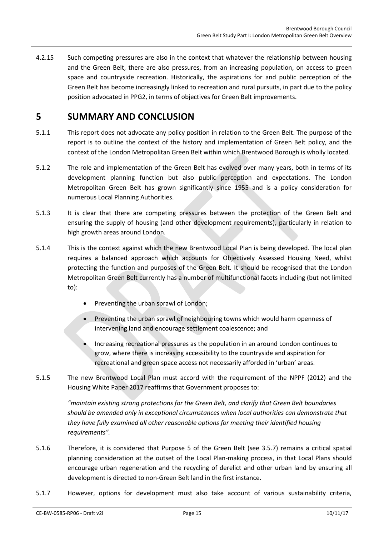4.2.15 Such competing pressures are also in the context that whatever the relationship between housing and the Green Belt, there are also pressures, from an increasing population, on access to green space and countryside recreation. Historically, the aspirations for and public perception of the Green Belt has become increasingly linked to recreation and rural pursuits, in part due to the policy position advocated in PPG2, in terms of objectives for Green Belt improvements.

## <span id="page-16-0"></span>**5 SUMMARY AND CONCLUSION**

- 5.1.1 This report does not advocate any policy position in relation to the Green Belt. The purpose of the report is to outline the context of the history and implementation of Green Belt policy, and the context of the London Metropolitan Green Belt within which Brentwood Borough is wholly located.
- 5.1.2 The role and implementation of the Green Belt has evolved over many years, both in terms of its development planning function but also public perception and expectations. The London Metropolitan Green Belt has grown significantly since 1955 and is a policy consideration for numerous Local Planning Authorities.
- 5.1.3 It is clear that there are competing pressures between the protection of the Green Belt and ensuring the supply of housing (and other development requirements), particularly in relation to high growth areas around London.
- 5.1.4 This is the context against which the new Brentwood Local Plan is being developed. The local plan requires a balanced approach which accounts for Objectively Assessed Housing Need, whilst protecting the function and purposes of the Green Belt. It should be recognised that the London Metropolitan Green Belt currently has a number of multifunctional facets including (but not limited to):
	- Preventing the urban sprawl of London;
	- Preventing the urban sprawl of neighbouring towns which would harm openness of intervening land and encourage settlement coalescence; and
	- Increasing recreational pressures as the population in an around London continues to grow, where there is increasing accessibility to the countryside and aspiration for recreational and green space access not necessarily afforded in 'urban' areas.
- 5.1.5 The new Brentwood Local Plan must accord with the requirement of the NPPF (2012) and the Housing White Paper 2017 reaffirms that Government proposes to:

*"maintain existing strong protections for the Green Belt, and clarify that Green Belt boundaries should be amended only in exceptional circumstances when local authorities can demonstrate that they have fully examined all other reasonable options for meeting their identified housing requirements".*

- 5.1.6 Therefore, it is considered that Purpose 5 of the Green Belt (see [3.5.7\)](#page-9-0) remains a critical spatial planning consideration at the outset of the Local Plan-making process, in that Local Plans should encourage urban regeneration and the recycling of derelict and other urban land by ensuring all development is directed to non-Green Belt land in the first instance.
- 5.1.7 However, options for development must also take account of various sustainability criteria,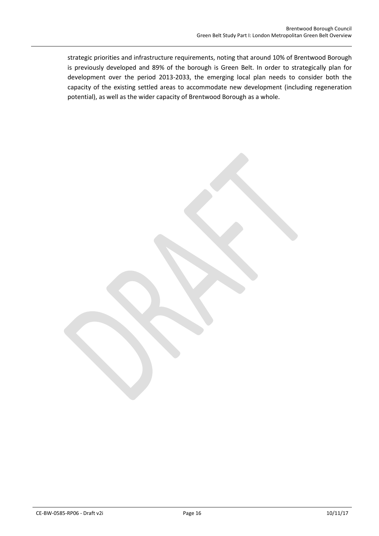strategic priorities and infrastructure requirements, noting that around 10% of Brentwood Borough is previously developed and 89% of the borough is Green Belt. In order to strategically plan for development over the period 2013-2033, the emerging local plan needs to consider both the capacity of the existing settled areas to accommodate new development (including regeneration potential), as well as the wider capacity of Brentwood Borough as a whole.